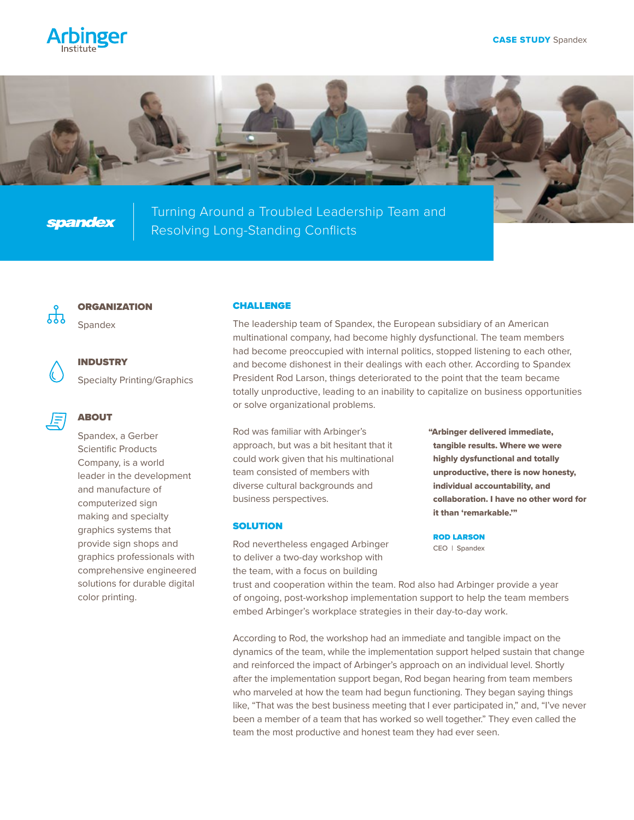



**spandex** 

Turning Around a Troubled Leadership Team and Resolving Long-Standing Conflicts



# **ORGANIZATION**

Spandex



INDUSTRY

Specialty Printing/Graphics

## ABOUT

Spandex, a Gerber Scientific Products Company, is a world leader in the development and manufacture of computerized sign making and specialty graphics systems that provide sign shops and graphics professionals with comprehensive engineered solutions for durable digital color printing.

#### CHALLENGE

The leadership team of Spandex, the European subsidiary of an American multinational company, had become highly dysfunctional. The team members had become preoccupied with internal politics, stopped listening to each other, and become dishonest in their dealings with each other. According to Spandex President Rod Larson, things deteriorated to the point that the team became totally unproductive, leading to an inability to capitalize on business opportunities or solve organizational problems.

Rod was familiar with Arbinger's approach, but was a bit hesitant that it could work given that his multinational team consisted of members with diverse cultural backgrounds and business perspectives.

### **SOLUTION**

Rod nevertheless engaged Arbinger to deliver a two-day workshop with the team, with a focus on building

"Arbinger delivered immediate, tangible results. Where we were highly dysfunctional and totally unproductive, there is now honesty, individual accountability, and collaboration. I have no other word for it than 'remarkable.'"

ROD LARSON CEO | Spandex

trust and cooperation within the team. Rod also had Arbinger provide a year of ongoing, post-workshop implementation support to help the team members embed Arbinger's workplace strategies in their day-to-day work.

According to Rod, the workshop had an immediate and tangible impact on the dynamics of the team, while the implementation support helped sustain that change and reinforced the impact of Arbinger's approach on an individual level. Shortly after the implementation support began, Rod began hearing from team members who marveled at how the team had begun functioning. They began saying things like, "That was the best business meeting that I ever participated in," and, "I've never been a member of a team that has worked so well together." They even called the team the most productive and honest team they had ever seen.